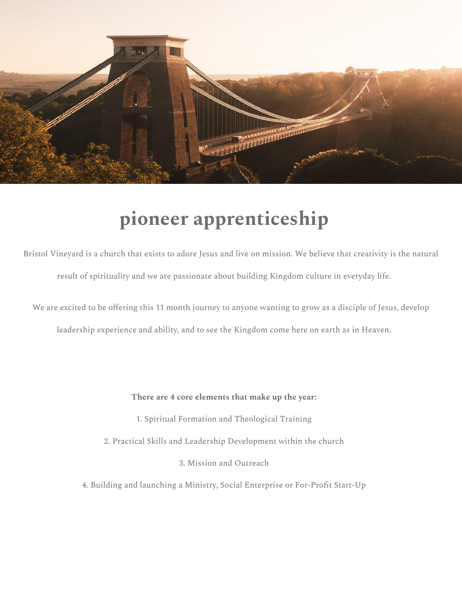

## **pioneer apprenticeship**

Bristol Vineyard is a church that exists to adore Jesus and live on mission. We believe that creativity is the natural result of spirituality and we are passionate about building Kingdom culture in everyday life.

We are excited to be offering this 11 month journey to anyone wanting to grow as a disciple of Jesus, develop

leadership experience and ability, and to see the Kingdom come here on earth as in Heaven.

#### **There are 4 core elements that make up the year:**

- 1. Spiritual Formation and Theological Training
- 2. Practical Skills and Leadership Development within the church
	- 3. Mission and Outreach
- 4. Building and launching a Ministry, Social Enterprise or For-Profit Start-Up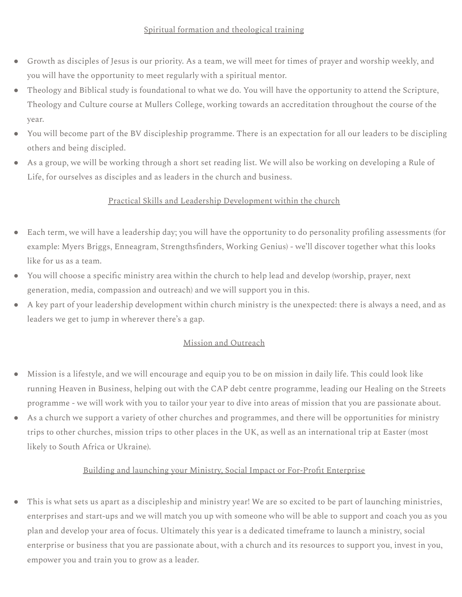### Spiritual formation and theological training

- Growth as disciples of Jesus is our priority. As a team, we will meet for times of prayer and worship weekly, and you will have the opportunity to meet regularly with a spiritual mentor.
- Theology and Biblical study is foundational to what we do. You will have the opportunity to attend the Scripture, Theology and Culture course at Mullers College, working towards an accreditation throughout the course of the year.
- You will become part of the BV discipleship programme. There is an expectation for all our leaders to be discipling others and being discipled.
- As a group, we will be working through a short set reading list. We will also be working on developing a Rule of Life, for ourselves as disciples and as leaders in the church and business.

### Practical Skills and Leadership Development within the church

- Each term, we will have a leadership day; you will have the opportunity to do personality profiling assessments (for example: Myers Briggs, Enneagram, Strengthsfinders, Working Genius) - we'll discover together what this looks like for us as a team.
- You will choose a specific ministry area within the church to help lead and develop (worship, prayer, next generation, media, compassion and outreach) and we will support you in this.
- A key part of your leadership development within church ministry is the unexpected: there is always a need, and as leaders we get to jump in wherever there's a gap.

### Mission and Outreach

- Mission is a lifestyle, and we will encourage and equip you to be on mission in daily life. This could look like running Heaven in Business, helping out with the CAP debt centre programme, leading our Healing on the Streets programme - we will work with you to tailor your year to dive into areas of mission that you are passionate about.
- As a church we support a variety of other churches and programmes, and there will be opportunities for ministry trips to other churches, mission trips to other places in the UK, as well as an international trip at Easter (most likely to South Africa or Ukraine).

### Building and launching your Ministry, Social Impact or For-Profit Enterprise

● This is what sets us apart as a discipleship and ministry year! We are so excited to be part of launching ministries, enterprises and start-ups and we will match you up with someone who will be able to support and coach you as you plan and develop your area of focus. Ultimately this year is a dedicated timeframe to launch a ministry, social enterprise or business that you are passionate about, with a church and its resources to support you, invest in you, empower you and train you to grow as a leader.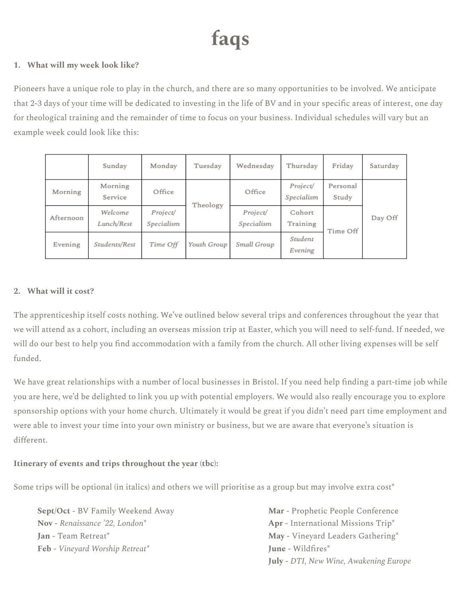# **faqs**

### **1. What will my week look like?**

Pioneers have a unique role to play in the church, and there are so many opportunities to be involved. We anticipate that 2-3 days of your time will be dedicated to investing in the life of BV and in your specific areas of interest, one day for theological training and the remainder of time to focus on your business. Individual schedules will vary but an example week could look like this:

|           | Sunday                | Monday                 | Tuesday     | Wednesday              | Thursday               | Friday            | Saturday |
|-----------|-----------------------|------------------------|-------------|------------------------|------------------------|-------------------|----------|
| Morning   | Morning<br>Service    | Office                 | Theology    | Office                 | Project/<br>Specialism | Personal<br>Study | Day Off  |
| Afternoon | Welcome<br>Lunch/Rest | Project/<br>Specialism |             | Project/<br>Specialism | Cohort<br>Training     | Time Off          |          |
| Evening   | Students/Rest         | Time Off               | Youth Group | Small Group            | Student<br>Evening     |                   |          |

### **2. What will it cost?**

The apprenticeship itself costs nothing. We've outlined below several trips and conferences throughout the year that we will attend as a cohort, including an overseas mission trip at Easter, which you will need to self-fund. If needed, we will do our best to help you find accommodation with a family from the church. All other living expenses will be self funded.

We have great relationships with a number of local businesses in Bristol. If you need help finding a part-time job while you are here, we'd be delighted to link you up with potential employers. We would also really encourage you to explore sponsorship options with your home church. Ultimately it would be great if you didn't need part time employment and were able to invest your time into your own ministry or business, but we are aware that everyone's situation is different.

### **Itinerary of events and trips throughout the year (tbc):**

Some trips will be optional (in italics) and others we will prioritise as a group but may involve extra cost<sup>\*</sup>

**Sept/Oct -** BV Family Weekend Away **Nov -** *Renaissance '22, London\** **Jan -** Team Retreat\* **Feb -** *Vineyard Worship Retreat\**

**Mar -** Prophetic People Conference **Apr -** International Missions Trip\* **May -** Vineyard Leaders Gathering\* **June -** Wildfires\* **July -** *DTI, New Wine, Awakening Europe*